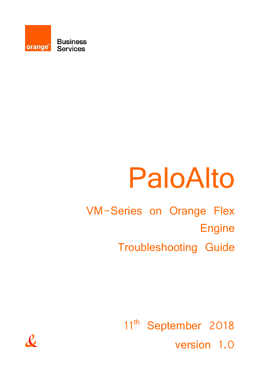

# PaloAlto

## VM-Series on Orange Flex **Engine** Troubleshooting Guide

11<sup>th</sup> September 2018 version 1.0

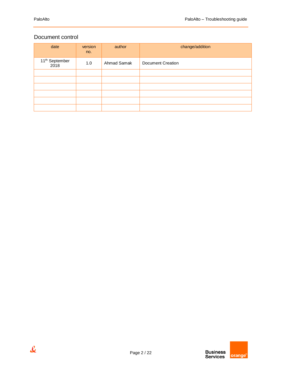#### Document control

| date                               | version<br>no. | author      | change/addition   |
|------------------------------------|----------------|-------------|-------------------|
| 11 <sup>th</sup> September<br>2018 | 1.0            | Ahmad Samak | Document Creation |
|                                    |                |             |                   |
|                                    |                |             |                   |
|                                    |                |             |                   |
|                                    |                |             |                   |
|                                    |                |             |                   |
|                                    |                |             |                   |

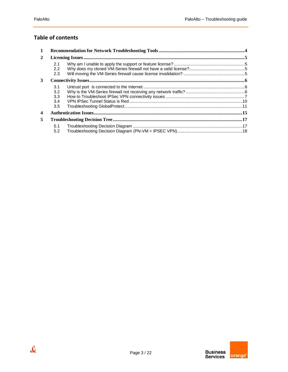$\mathbf{\&}$ 

#### **Table of contents**

| 1                       |                                 |  |  |  |  |
|-------------------------|---------------------------------|--|--|--|--|
| 2                       |                                 |  |  |  |  |
|                         | 2.1<br>$2.2^{\circ}$<br>2.3     |  |  |  |  |
| 3                       |                                 |  |  |  |  |
|                         | 3.1<br>3.2<br>3.3<br>3.4<br>3.5 |  |  |  |  |
| $\overline{\mathbf{4}}$ |                                 |  |  |  |  |
| 5                       |                                 |  |  |  |  |
|                         | 5.1<br>5.2                      |  |  |  |  |

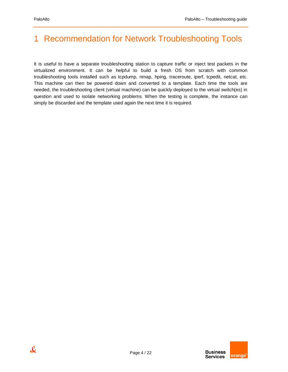## <span id="page-3-0"></span>1 Recommendation for Network Troubleshooting Tools

It is useful to have a separate troubleshooting station to capture traffic or inject test packets in the virtualized environment. It can be helpful to build a fresh OS from scratch with common troubleshooting tools installed such as tcpdump, nmap, hping, traceroute, iperf, tcpedit, netcat, etc. This machine can then be powered down and converted to a template. Each time the tools are needed, the troubleshooting client (virtual machine) can be quickly deployed to the virtual switch(es) in question and used to isolate networking problems. When the testing is complete, the instance can simply be discarded and the template used again the next time it is required.

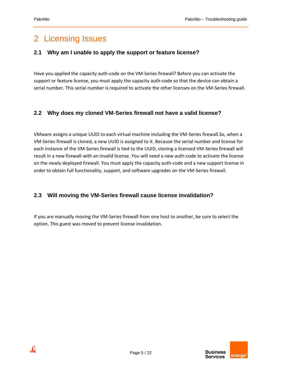## <span id="page-4-0"></span>2 Licensing Issues

#### <span id="page-4-1"></span>**2.1 Why am I unable to apply the support or feature license?**

Have you applied the capacity auth-code on the VM-Series firewall? Before you can activate the support or feature license, you must apply the capacity auth-code so that the device can obtain a serial number. This serial number is required to activate the other licenses on the VM-Series firewall.

#### <span id="page-4-2"></span>**2.2 Why does my cloned VM-Series firewall not have a valid license?**

VMware assigns a unique UUID to each virtual machine including the VM-Series firewall.So, when a VM-Series firewall is cloned, a new UUID is assigned to it. Because the serial number and license for each instance of the VM-Series firewall is tied to the UUID, cloning a licensed VM-Series firewall will result in a new firewall with an invalid license. You will need a new auth-code to activate the license on the newly deployed firewall. You must apply the capacity auth-code and a new support license in order to obtain full functionality, support, and software upgrades on the VM-Series firewall.

#### <span id="page-4-3"></span>**2.3 Will moving the VM-Series firewall cause license invalidation?**

If you are manually moving the VM-Series firewall from one host to another, be sure to select the option, This guest was moved to prevent license invalidation.

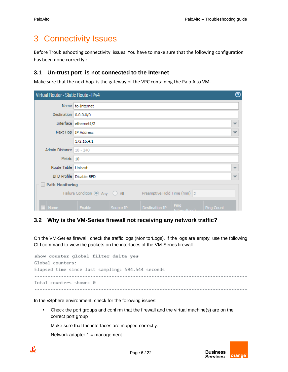## <span id="page-5-0"></span>3 Connectivity Issues

Before Troubleshooting connectivity issues. You have to make sure that the following configuration has been done correctly :

#### <span id="page-5-1"></span>**3.1 Un-trust port is not connected to the Internet**

Make sure that the next hop is the gateway of the VPC containing the Palo Alto VM.

| Virtual Router - Static Route - IPv4 |                                |           |                                                                |                    |                   |  |  |
|--------------------------------------|--------------------------------|-----------|----------------------------------------------------------------|--------------------|-------------------|--|--|
|                                      | Name   to-Internet             |           |                                                                |                    |                   |  |  |
| Destination 0.0.0.0/0                |                                |           |                                                                |                    |                   |  |  |
|                                      | Interface ethernet1/2          |           |                                                                |                    |                   |  |  |
|                                      | Next Hop   IP Address          |           |                                                                |                    |                   |  |  |
|                                      | 172, 16, 4, 1                  |           |                                                                |                    |                   |  |  |
| Admin Distance   10 - 240            |                                |           |                                                                |                    |                   |  |  |
| Metric 10                            |                                |           |                                                                |                    |                   |  |  |
| Route Table Unicast                  | $\overline{\phantom{a}}$       |           |                                                                |                    |                   |  |  |
|                                      | <b>BFD Profile Disable BFD</b> |           |                                                                |                    |                   |  |  |
| <b>Path Monitoring</b>               |                                |           |                                                                |                    |                   |  |  |
|                                      |                                |           | Failure Condition (a) Any (b) All Preemptive Hold Time (min) 2 |                    |                   |  |  |
| <b>Name</b>                          | Enable                         | Source IP | <b>Destination IP</b>                                          | Ping<br>أمده الدرو | <b>Ping Count</b> |  |  |

#### <span id="page-5-2"></span>**3.2 Why is the VM-Series firewall not receiving any network traffic?**

On the VM-Series firewall. check the traffic logs (MonitorLogs). If the logs are empty, use the following CLI command to view the packets on the interfaces of the VM-Series firewall:

| show counter global filter delta yes              |  |  |  |  |  |
|---------------------------------------------------|--|--|--|--|--|
| Global counters:                                  |  |  |  |  |  |
| Elapsed time since last sampling: 594.544 seconds |  |  |  |  |  |
| Total counters shown: 0                           |  |  |  |  |  |
|                                                   |  |  |  |  |  |

In the vSphere environment, check for the following issues:

 Check the port groups and confirm that the firewall and the virtual machine(s) are on the correct port group

Make sure that the interfaces are mapped correctly.

Network adapter 1 = management

 $\mathbf{\mathcal{L}}$ 

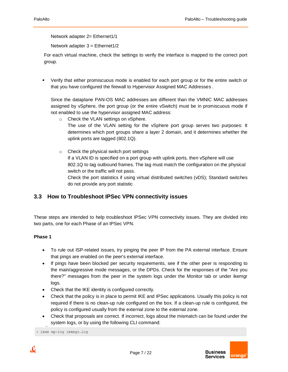Network adapter 2= Ethernet1/1

Network adapter  $3 =$  Ethernet1/2

For each virtual machine, check the settings to verify the interface is mapped to the correct port group.

 Verify that either promiscuous mode is enabled for each port group or for the entire switch or that you have configured the firewall to Hypervisor Assigned MAC Addresses .

Since the dataplane PAN-OS MAC addresses are different than the VMNIC MAC addresses assigned by vSphere, the port group (or the entire vSwitch) must be in promiscuous mode if not enabled to use the hypervisor assigned MAC address:

- o Check the VLAN settings on vSphere. The use of the VLAN setting for the vSphere port group serves two purposes: It determines which port groups share a layer 2 domain, and it determines whether the uplink ports are tagged (802.1Q).
- o Check the physical switch port settings If a VLAN ID is specified on a port group with uplink ports, then vSphere will use 802.1Q to tag outbound frames. The tag must match the configuration on the physical switch or the traffic will not pass. Check the port statistics if using virtual distributed switches (vDS); Standard switches do not provide any port statistic

#### <span id="page-6-0"></span>**3.3 How to Troubleshoot IPSec VPN connectivity issues**

These steps are intended to help troubleshoot IPSec VPN connectivity issues. They are divided into two parts, one for each Phase of an IPSec VPN.

#### **Phase 1**

Ŀ.

- To rule out ISP-related issues, try pinging the peer IP from the PA external interface. Ensure that pings are enabled on the peer's external interface.
- If pings have been blocked per security requirements, see if the other peer is responding to the main/aggressive mode messages, or the DPDs. Check for the responses of the "Are you there?" messages from the peer in the system logs under the Monitor tab or under ikemgr logs.
- Check that the IKE identity is configured correctly.
- Check that the policy is in place to permit IKE and IPSec applications. Usually this policy is not required if there is no clean-up rule configured on the box. If a clean-up rule is configured, the policy is configured usually from the external zone to the external zone.
- Check that proposals are correct. If incorrect, logs about the mismatch can be found under the system logs, or by using the following CLI command:

> less mp-log ikemgr.log

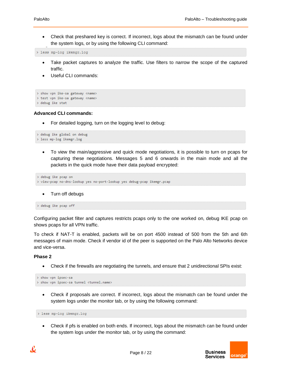Check that preshared key is correct. If incorrect, logs about the mismatch can be found under the system logs, or by using the following CLI command:

> less mp-log ikemgr.log

- Take packet captures to analyze the traffic. Use filters to narrow the scope of the captured traffic.
- Useful CLI commands:

```
> show vpn ike-sa gateway <name>
> test vpn ike-sa gateway <name>
> debug ike stat
```
#### **Advanced CLI commands:**

• For detailed logging, turn on the logging level to debug:

> debug ike global on debug > less mp-log ikemgr.log

 To view the main/aggressive and quick mode negotiations, it is possible to turn on pcaps for capturing these negotiations. Messages 5 and 6 onwards in the main mode and all the packets in the quick mode have their data payload encrypted:

```
> debug ike pcap on
> view-pcap no-dns-lookup yes no-port-lookup yes debug-pcap ikemgr.pcap
```
Turn off debugs

> debug ike pcap off

Configuring packet filter and captures restricts pcaps only to the one worked on, debug IKE pcap on shows pcaps for all VPN traffic.

To check if NAT-T is enabled, packets will be on port 4500 instead of 500 from the 5th and 6th messages of main mode. Check if vendor id of the peer is supported on the Palo Alto Networks device and vice-versa.

#### **Phase 2**

 $\mathcal{L}$ 

Check if the firewalls are negotiating the tunnels, and ensure that 2 unidirectional SPIs exist:

```
> show vpn ipsec-sa
> show vpn ipsec-sa tunnel <tunnel.name>
```
 Check if proposals are correct. If incorrect, logs about the mismatch can be found under the system logs under the monitor tab, or by using the following command:

> less mp-log ikemgr.log

 Check if pfs is enabled on both ends. If incorrect, logs about the mismatch can be found under the system logs under the monitor tab, or by using the command:

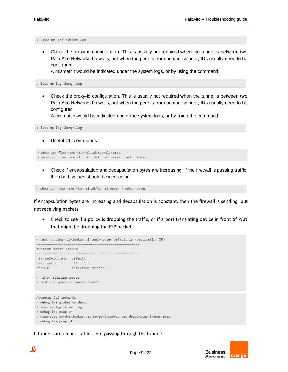> less mp-log ikemgr.log

 Check the proxy-id configuration. This is usually not required when the tunnel is between two Palo Alto Networks firewalls, but when the peer is from another vendor, IDs usually need to be configured.

A mismatch would be indicated under the system logs, or by using the command:

> less mp-log ikemgr.log

 Check the proxy-id configuration. This is usually not required when the tunnel is between two Palo Alto Networks firewalls, but when the peer is from another vendor, IDs usually need to be configured.

A mismatch would be indicated under the system logs, or by using the command:

> less mp-log ikemgr.log

Useful CLI commands:

```
> show vpn flow name <tunnel.id/tunnel.name>
> show vpn flow name <tunnel.id/tunnel.name> | match bytes
```
 Check if encapsulation and decapsulation bytes are increasing. If the firewall is passing traffic, then both values should be increasing.

> show vpn flow name <tunnel.id/tunnel.name> | match bytes

If encapsulation bytes are increasing and decapsulation is constant, then the firewall is sending but not receiving packets.

 Check to see if a policy is dropping the traffic, or if a port translating device in front of PAN that might be dropping the ESP packets.



If tunnels are up but traffic is not passing through the tunnel:

Ŀ

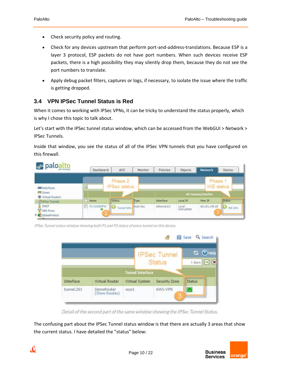**College** 

 $\mathcal{L}$ 

**State** 

- Check security policy and routing.
- Check for any devices upstream that perform port-and-address-translations. Because ESP is a layer 3 protocol, ESP packets do not have port numbers. When such devices receive ESP packets, there is a high possibility they may silently drop them, because they do not see the port numbers to translate.
- Apply debug packet filters, captures or logs, if necessary, to isolate the issue where the traffic is getting dropped.

#### <span id="page-9-0"></span>**3.4 VPN IPSec Tunnel Status is Red**

When it comes to working with IPSec VPNs, it can be tricky to understand the status properly, which is why I chose this topic to talk about.

Let's start with the IPSec tunnel status window, which can be accessed from the WebGUI > Network > IPSec Tunnels.

Inside that window, you see the status of all of the IPSec VPN tunnels that you have configured on this firewall.

| ville paloa<br>NIETWORKS                     |     | Dashboard   | ACC                            | Monitor  | Policies    | Objects              | <b>Network</b>               | Device              |
|----------------------------------------------|-----|-------------|--------------------------------|----------|-------------|----------------------|------------------------------|---------------------|
| Interfaces                                   | -81 |             | Phase 2<br><b>IPSec status</b> |          |             |                      | Phase 1<br><b>IKE</b> status |                     |
| <b>PR</b> Zones<br>Wirtual Routers           |     |             |                                |          |             |                      | <b>IKE Gateway/Satellite</b> |                     |
| <b>D</b> IPSec Tunnels                       |     | <b>Name</b> | <b>Status</b>                  | Type     | Interface   | Local IP             | Peer IP                      | Status              |
| 贵 DHCP<br>DND DNS Proxy<br>V C GlobalProtect |     | P2-CADEMFW  | Tunnel Info                    | Auto Key | ethernet1/1 | Local-<br>UntrustNet | 66.151.149.18                | $\bigcirc$ BXE Info |

IPSec Tunnel status window showing both P1 and P2 status of every tunnel on this device.

|            |                             |       |                         |                                      | 图 Save Q Search |                                                         |
|------------|-----------------------------|-------|-------------------------|--------------------------------------|-----------------|---------------------------------------------------------|
|            |                             |       |                         | <b>IPSec Tunnel</b><br><b>Status</b> |                 | C OHelp<br>1 item $\boxed{\rightarrow}$ $\boxed{\star}$ |
|            |                             |       | <b>Tunnel Interface</b> |                                      |                 |                                                         |
| Interface  | Virtual Router              |       | Virtual System          | Security Zone                        | <b>Status</b>   |                                                         |
| tunnel.201 | DemoRouter<br>(Show Routes) | vsys1 |                         | AWS-VPN<br>3                         | $\boxed{mn}$    |                                                         |

Detail of the second part of the same window showing the IPSec Tunnel Status.

The confusing part about the IPSec Tunnel status window is that there are actually 3 areas that show the current status. I have detailed the "status" below:

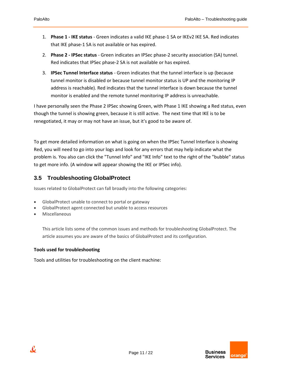- 1. **Phase 1 - IKE status** Green indicates a valid IKE phase-1 SA or IKEv2 IKE SA. Red indicates that IKE phase-1 SA is not available or has expired.
- 2. **Phase 2 - IPSec status** Green indicates an IPSec phase-2 security association (SA) tunnel. Red indicates that IPSec phase-2 SA is not available or has expired.
- 3. **IPSec Tunnel Interface status** Green indicates that the tunnel interface is up (because tunnel monitor is disabled or because tunnel monitor status is UP and the monitoring IP address is reachable). Red indicates that the tunnel interface is down because the tunnel monitor is enabled and the remote tunnel monitoring IP address is unreachable.

I have personally seen the Phase 2 IPSec showing Green, with Phase 1 IKE showing a Red status, even though the tunnel is showing green, because it is still active. The next time that IKE is to be renegotiated, it may or may not have an issue, but it's good to be aware of.

To get more detailed information on what is going on when the IPSec Tunnel Interface is showing Red, you will need to go into your logs and look for any errors that may help indicate what the problem is. You also can click the "Tunnel Info" and "IKE Info" text to the right of the "bubble" status to get more info. (A window will appear showing the IKE or IPSec info).

#### <span id="page-10-0"></span>**3.5 Troubleshooting GlobalProtect**

Issues related to GlobalProtect can fall broadly into the following categories:

- GlobalProtect unable to connect to portal or gateway
- GlobalProtect agent connected but unable to access resources
- Miscellaneous

 $\boldsymbol{\mathcal{L}}$ 

This article lists some of the common issues and methods for troubleshooting GlobalProtect. The article assumes you are aware of the basics of GlobalProtect and its configuration.

#### **Tools used for troubleshooting**

Tools and utilities for troubleshooting on the client machine: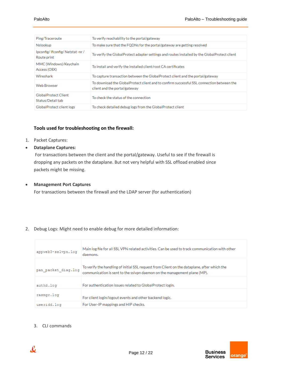| Ping/Traceroute                                  | To verify reachability to the portal/gateway                                                                               |
|--------------------------------------------------|----------------------------------------------------------------------------------------------------------------------------|
| <b>Nslookup</b>                                  | To make sure that the FQDNs for the portal/gateway are getting resolved                                                    |
| lpconfig/Ifconfig/Netstat-nr/<br>Route print     | To verify the GlobalProtect adapter settings and routes installed by the GlobalProtect client                              |
| MMC (Windows)/Keychain<br>Access (OSX)           | To install and verify the installed client/root CA certificates                                                            |
| Wireshark                                        | To capture transaction between the GlobalProtect client and the portal/gateway                                             |
| Web Browser                                      | To download the GlobalProtect client and to confirm successful SSL connection between the<br>client and the portal/gateway |
| <b>GlobalProtect Client</b><br>Status/Detail tab | To check the status of the connection                                                                                      |
| <b>GlobalProtect client logs</b>                 | To check detailed debug logs from the GlobalProtect client                                                                 |

#### **Tools used for troubleshooting on the firewall:**

- 1. Packet Captures:
- **Dataplane Captures:**

For transactions between the client and the portal/gateway. Useful to see if the firewall is dropping any packets on the dataplane. But not very helpful with SSL offload enabled since packets might be missing.

#### **Management Port Captures**

For transactions between the firewall and the LDAP server (for authentication)

#### 2. Debug Logs: Might need to enable debug for more detailed information:

| appweb3-sslvpn.log  | Main log file for all SSL VPN related activities. Can be used to track communication with other<br>daemons.                                                             |
|---------------------|-------------------------------------------------------------------------------------------------------------------------------------------------------------------------|
| pan packet diag.log | To verify the handling of initial SSL request from Client on the dataplane, after which the<br>communication is sent to the sslypn daemon on the management plane (MP). |
| authd.log           | For authentication issues related to GlobalProtect login.                                                                                                               |
| rasmgr.log          | For client login/logout events and other backend logic.                                                                                                                 |
| useridd.log         | For User-IP mappings and HIP checks.                                                                                                                                    |

3. CLI commands

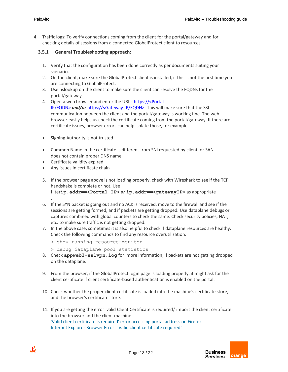4. Traffic logs: To verify connections coming from the client for the portal/gateway and for checking details of sessions from a connected GlobalProtect client to resources.

#### **3.5.1 General Troubleshooting approach:**

- 1. Verify that the configuration has been done correctly as per documents suiting your scenario.
- 2. On the client, make sure the GlobalProtect client is installed, if this is not the first time you are connecting to GlobalProtect.
- 3. Use nslookup on the client to make sure the client can resolve the FQDNs for the portal/gateway.
- 4. Open a web browser and enter the URL : https://<Portal-IP/FQDN> *and/or* https://<Gateway-IP/FQDN>. This will make sure that the SSL communication between the client and the portal/gateway is working fine. The web browser easily helps us check the certificate coming from the portal/gateway. If there are certificate issues, browser errors can help isolate those, for example,
- Signing Authority is not trusted
- Common Name in the certificate is different from SNI requested by client, or SAN does not contain proper DNS name
- Certificate validity expired

.

 $\mathcal{L}$ 

- Any issues in certificate chain
- 5. If the browser page above is not loading properly, check with Wireshark to see if the TCP handshake is complete or not. Use filter**ip.addr==<Portal IP>** *or* **ip.addr==<gatewayIP>** as appropriate
- 6. If the SYN packet is going out and no ACK is received, move to the firewall and see if the sessions are getting formed, and if packets are getting dropped. Use dataplane debugs or captures combined with global counters to check the same. Check security policies, NAT, etc. to make sure traffic is not getting dropped.
- 7. In the above case, sometimes it is also helpful to check if dataplane resources are healthy. Check the following commands to find any resource overutilization:
	- > show running resource-monitor
	- > debug dataplane pool statistics
- 8. Check **appweb3-sslvpn.log** for more information, if packets are not getting dropped on the dataplane.
- 9. From the browser, if the GlobalProtect login page is loading properly, it might ask for the client certificate if client certificate-based authentication is enabled on the portal.
- 10. Check whether the proper client certificate is loaded into the machine's certificate store, and the browser's certificate store.
- 11. If you are getting the error 'valid Client Certificate is required,' import the client certificate into the browser and the client machine. ['Valid client certificate is required' error accessing portal address on Firefox](https://live.paloaltonetworks.com/t5/Management-Articles/Valid-client-certificate-is-required-error-accessing-portal/ta-p/74364) [Internet Explorer Browser Error: "Valid client certificate required"](https://live.paloaltonetworks.com/t5/Management-Articles/Internet-Explorer-Browser-Error-quot-Valid-client-certificate/ta-p/55065)

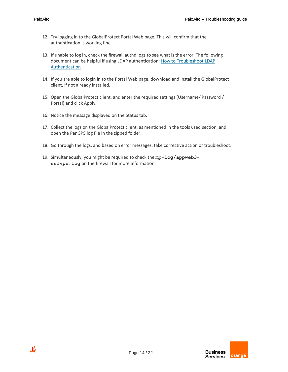- 12. Try logging in to the GlobalProtect Portal Web page. This will confirm that the authentication is working fine.
- 13. If unable to log in, check the firewall authd logs to see what is the error. The following document can be helpful if using LDAP authentication: [How to Troubleshoot LDAP](https://live.paloaltonetworks.com/t5/Management-Articles/How-to-Troubleshoot-LDAP-Authentication/ta-p/61818)  **[Authentication](https://live.paloaltonetworks.com/t5/Management-Articles/How-to-Troubleshoot-LDAP-Authentication/ta-p/61818)**
- 14. If you are able to login in to the Portal Web page, download and install the GlobalProtect client, if not already installed.
- 15. Open the GlobalProtect client, and enter the required settings (Username/ Password / Portal) and click Apply.
- 16. Notice the message displayed on the Status tab.
- 17. Collect the logs on the GlobalProtect client, as mentioned in the tools used section, and open the PanGPS.log file in the zipped folder.
- 18. Go through the logs, and based on error messages, take corrective action or troubleshoot.
- 19. Simultaneously, you might be required to check the **mp-log/appweb3 sslvpn.log** on the firewall for more information.

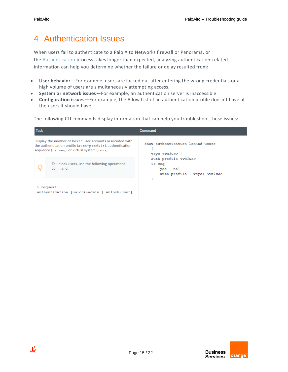## <span id="page-14-0"></span>4 Authentication Issues

When users fail to authenticate to a Palo Alto Networks firewall or Panorama, or the [Authentication](https://www.paloaltonetworks.com/documentation/80/pan-os/pan-os/authentication#id264348c2-b544-4007-836c-c7ed47e36cb7) process takes longer than expected, analyzing authentication-related information can help you determine whether the failure or delay resulted from:

- **User behavior**—For example, users are locked out after entering the wrong credentials or a high volume of users are simultaneously attempting access.
- **System or network issues**—For example, an authentication server is inaccessible.
- **Configuration issues**—For example, the Allow List of an authentication profile doesn't have all the users it should have.

The following CLI commands display information that can help you troubleshoot these issues:

| <b>Task</b>                                                                                                                                                                           |                                                                 | Command                                                                                                                           |  |  |
|---------------------------------------------------------------------------------------------------------------------------------------------------------------------------------------|-----------------------------------------------------------------|-----------------------------------------------------------------------------------------------------------------------------------|--|--|
| Display the number of locked user accounts associated with<br>the authentication profile (auth-profile), authentication<br>sequence $(i s - s e q)$ , or virtual system $(v s y s)$ . |                                                                 | show authentication locked-users<br>$vsys$ $\langle value \rangle$                                                                |  |  |
|                                                                                                                                                                                       | To unlock users, use the following operational<br>command:      | auth-profile <value>  <br/><math>is-seq</math><br/><math>\{ves \mid no\}</math><br/>{auth-profile   vsys} <value></value></value> |  |  |
|                                                                                                                                                                                       | $\angle$ request<br>authentication [unlock-admin   unlock-user] |                                                                                                                                   |  |  |

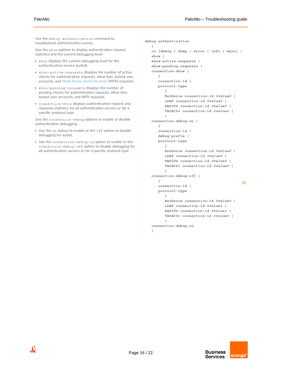$\mathcal{X}$ 

Use the debug authentication command to troubleshoot authentication events.

Use the show options to display authentication request statistics and the current debugging level:

- . show displays the current debugging level for the authentication service (authd).
- show-active-requests displays the number of active checks for authentication requests, allow lists, locked user accounts, and Multi-Factor Authentication (MFA) requests.
- · show-pending-requests displays the number of pending checks for authentication requests, allow lists, locked user accounts, and MFA requests.
- connection-show displays authentication request and response statistics for all authentication servers or for a specific protocol type.

Use the connection-debug options to enable or disable authentication debugging:

- Use the on option to enable or the off option to disable debugging for authd.
- Use the connection-debug-on option to enable or the connection-debug-off option to disable debugging for all authentication servers or for a specific protocol type.

```
debug authentication
   \left\{ \right.on {debug | dump | error | info | warn} |
   show |
   show-active-requests |
   show-pending-requests |
   connection-show |
      \overline{A}connection-id |
      protocol-type
          \left\{ \right.Kerberos connection-id <value> |
          LDAP connection-id \langle value \rangle |
          RADIUS connection-id <value> |
          TACACS+ connection-id <value> |
          \mathcal{F}connection-debug-on |
      \left\{ \right.connection-id |
      debug-prefix |
      protocol-type
          \left\{ \right.Kerberos connection-id <value> |
          LDAP connection-id <value> |
          RADIUS connection-id <value> |
          TACACS+ connection-id <value> |
          \mathcal{F}connection-debug-off |
      \left\{ \right.《
      connection-id |
      protocol-type
          \left\{ \right.Kerberos connection-id <value> |
          LDAP connection-id <value> |
          RADIUS connection-id <value> |
          TACACS+ connection-id <value> |
          \mathbf{F}connection-debug-on
   ł
```
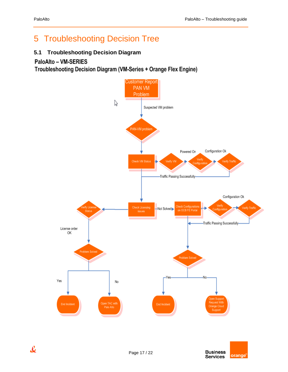## <span id="page-16-0"></span>5 Troubleshooting Decision Tree

#### <span id="page-16-1"></span>**5.1 Troubleshooting Decision Diagram**

#### PaloAlto - VM-SERIES

Troubleshooting Decision Diagram (VM-Series + Orange Flex Engine)



orange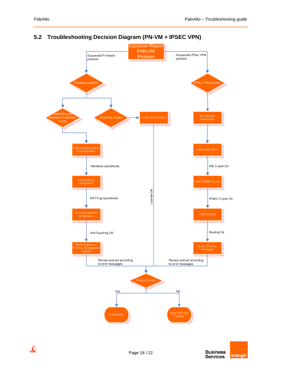

#### <span id="page-17-0"></span>**5.2 Troubleshooting Decision Diagram (PN-VM + IPSEC VPN)**

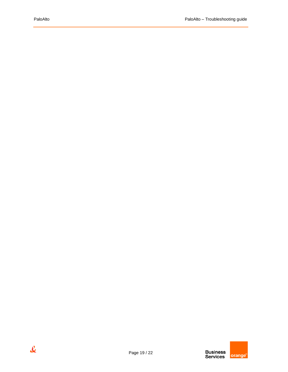

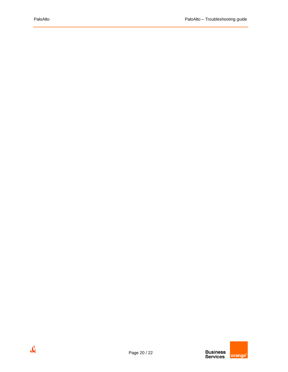

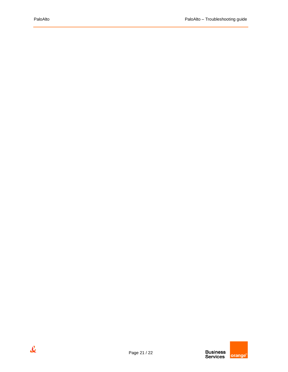